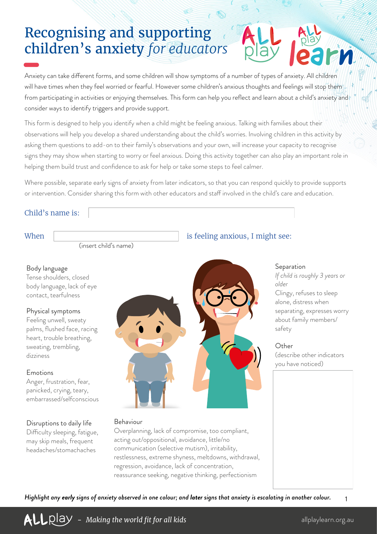# Recognising and supporting children's anxiety *for educators*

Anxiety can take different forms, and some children will show symptoms of a number of types of anxiety. All children will have times when they feel worried or fearful. However some children's anxious thoughts and feelings will stop them from participating in activities or enjoying themselves. This form can help you reflect and learn about a child's anxiety and consider ways to identify triggers and provide support.

This form is designed to help you identify when a child might be feeling anxious. Talking with families about their observations will help you develop a shared understanding about the child's worries. Involving children in this activity by asking them questions to add-on to their family's observations and your own, will increase your capacity to recognise signs they may show when starting to worry or feel anxious. Doing this activity together can also play an important role in helping them build trust and confidence to ask for help or take some steps to feel calmer.

Where possible, separate early signs of anxiety from later indicators, so that you can respond quickly to provide supports or intervention. Consider sharing this form with other educators and staff involved in the child's care and education.

### Child's name is:

(insert child's name)

#### Body language

Tense shoulders, closed body language, lack of eye contact, tearfulness

#### Physical symptoms

Feeling unwell, sweaty palms, flushed face, racing heart, trouble breathing, sweating, trembling, dizziness

#### Emotions

Anger, frustration, fear, panicked, crying, teary, embarrassed/selfconscious

### Disruptions to daily life

Difficulty sleeping, fatigue, may skip meals, frequent headaches/stomachaches



#### Behaviour

Overplanning, lack of compromise, too compliant, acting out/oppositional, avoidance, little/no communication (selective mutism), irritability, restlessness, extreme shyness, meltdowns, withdrawal, regression, avoidance, lack of concentration, reassurance seeking, negative thinking, perfectionism

## When is feeling anxious, I might see:

#### Separation

*If child is roughly 3 years or older* Clingy, refuses to sleep alone, distress when separating, expresses worry about family members/ safety

#### **Other**

(describe other indicators you have noticed)

*Highlight any early signs of anxiety observed in one colour; and later signs that anxiety is escalating in another colour.*

1